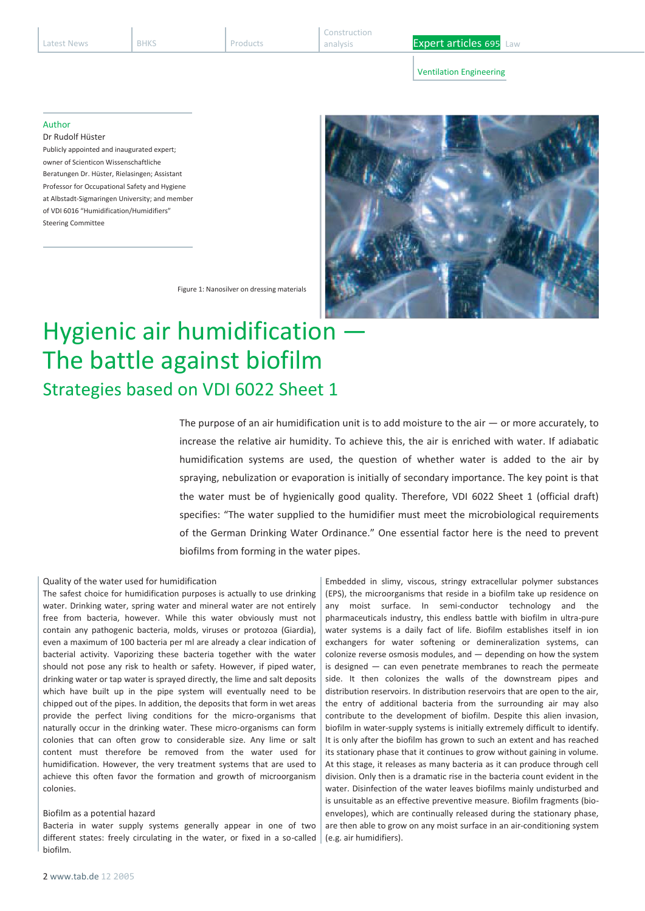Construction

analysis **Expert articles 695** Law

Ventilation Engineering

### Author

Dr Rudolf Hüster Publicly appointed and inaugurated expert; owner of Scienticon Wissenschaftliche Beratungen Dr. Hüster, Rielasingen; Assistant Professor for Occupational Safety and Hygiene at Albstadt-Sigmaringen University; and member of VDI 6016 "Humidification/Humidifiers" Steering Committee



Figure 1: Nanosilver on dressing materials

# Hygienic air humidification The battle against biofilm Strategies based on VDI 6022 Sheet 1

The purpose of an air humidification unit is to add moisture to the air  $-$  or more accurately, to increase the relative air humidity. To achieve this, the air is enriched with water. If adiabatic humidification systems are used, the question of whether water is added to the air by spraying, nebulization or evaporation is initially of secondary importance. The key point is that the water must be of hygienically good quality. Therefore, VDI 6022 Sheet 1 (official draft) specifies: "The water supplied to the humidifier must meet the microbiological requirements of the German Drinking Water Ordinance." One essential factor here is the need to prevent biofilms from forming in the water pipes.

## Quality of the water used for humidification

The safest choice for humidification purposes is actually to use drinking water. Drinking water, spring water and mineral water are not entirely free from bacteria, however. While this water obviously must not contain any pathogenic bacteria, molds, viruses or protozoa (Giardia), even a maximum of 100 bacteria per ml are already a clear indication of bacterial activity. Vaporizing these bacteria together with the water should not pose any risk to health or safety. However, if piped water, drinking water or tap water is sprayed directly, the lime and salt deposits which have built up in the pipe system will eventually need to be chipped out of the pipes. In addition, the deposits that form in wet areas provide the perfect living conditions for the micro-organisms that naturally occur in the drinking water. These micro-organisms can form colonies that can often grow to considerable size. Any lime or salt content must therefore be removed from the water used for humidification. However, the very treatment systems that are used to achieve this often favor the formation and growth of microorganism colonies.

### Biofilm as a potential hazard

Bacteria in water supply systems generally appear in one of two different states: freely circulating in the water, or fixed in a so-called biofilm.

Embedded in slimy, viscous, stringy extracellular polymer substances (EPS), the microorganisms that reside in a biofilm take up residence on any moist surface. In semi-conductor technology and the pharmaceuticals industry, this endless battle with biofilm in ultra-pure water systems is a daily fact of life. Biofilm establishes itself in ion exchangers for water softening or demineralization systems, can colonize reverse osmosis modules, and — depending on how the system is designed — can even penetrate membranes to reach the permeate side. It then colonizes the walls of the downstream pipes and distribution reservoirs. In distribution reservoirs that are open to the air, the entry of additional bacteria from the surrounding air may also contribute to the development of biofilm. Despite this alien invasion, biofilm in water-supply systems is initially extremely difficult to identify. It is only after the biofilm has grown to such an extent and has reached its stationary phase that it continues to grow without gaining in volume. At this stage, it releases as many bacteria as it can produce through cell division. Only then is a dramatic rise in the bacteria count evident in the water. Disinfection of the water leaves biofilms mainly undisturbed and is unsuitable as an effective preventive measure. Biofilm fragments (bioenvelopes), which are continually released during the stationary phase, are then able to grow on any moist surface in an air-conditioning system (e.g. air humidifiers).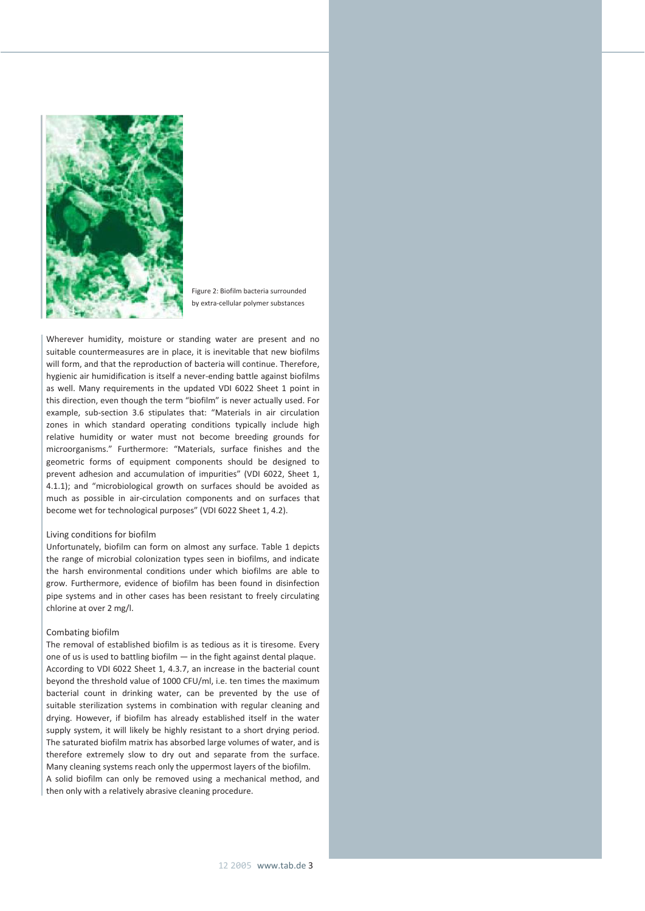

Figure 2: Biofilm bacteria surrounded by extra-cellular polymer substances

Wherever humidity, moisture or standing water are present and no suitable countermeasures are in place, it is inevitable that new biofilms will form, and that the reproduction of bacteria will continue. Therefore, hygienic air humidification is itself a never-ending battle against biofilms as well. Many requirements in the updated VDI 6022 Sheet 1 point in this direction, even though the term "biofilm" is never actually used. For example, sub-section 3.6 stipulates that: "Materials in air circulation zones in which standard operating conditions typically include high relative humidity or water must not become breeding grounds for microorganisms." Furthermore: "Materials, surface finishes and the geometric forms of equipment components should be designed to prevent adhesion and accumulation of impurities" (VDI 6022, Sheet 1, 4.1.1); and "microbiological growth on surfaces should be avoided as much as possible in air-circulation components and on surfaces that become wet for technological purposes" (VDI 6022 Sheet 1, 4.2).

#### Living conditions for biofilm

Unfortunately, biofilm can form on almost any surface. Table 1 depicts the range of microbial colonization types seen in biofilms, and indicate the harsh environmental conditions under which biofilms are able to grow. Furthermore, evidence of biofilm has been found in disinfection pipe systems and in other cases has been resistant to freely circulating chlorine at over 2 mg/l.

## Combating biofilm

The removal of established biofilm is as tedious as it is tiresome. Every one of us is used to battling biofilm — in the fight against dental plaque. According to VDI 6022 Sheet 1, 4.3.7, an increase in the bacterial count beyond the threshold value of 1000 CFU/ml, i.e. ten times the maximum bacterial count in drinking water, can be prevented by the use of suitable sterilization systems in combination with regular cleaning and drying. However, if biofilm has already established itself in the water supply system, it will likely be highly resistant to a short drying period. The saturated biofilm matrix has absorbed large volumes of water, and is therefore extremely slow to dry out and separate from the surface. Many cleaning systems reach only the uppermost layers of the biofilm. A solid biofilm can only be removed using a mechanical method, and then only with a relatively abrasive cleaning procedure.